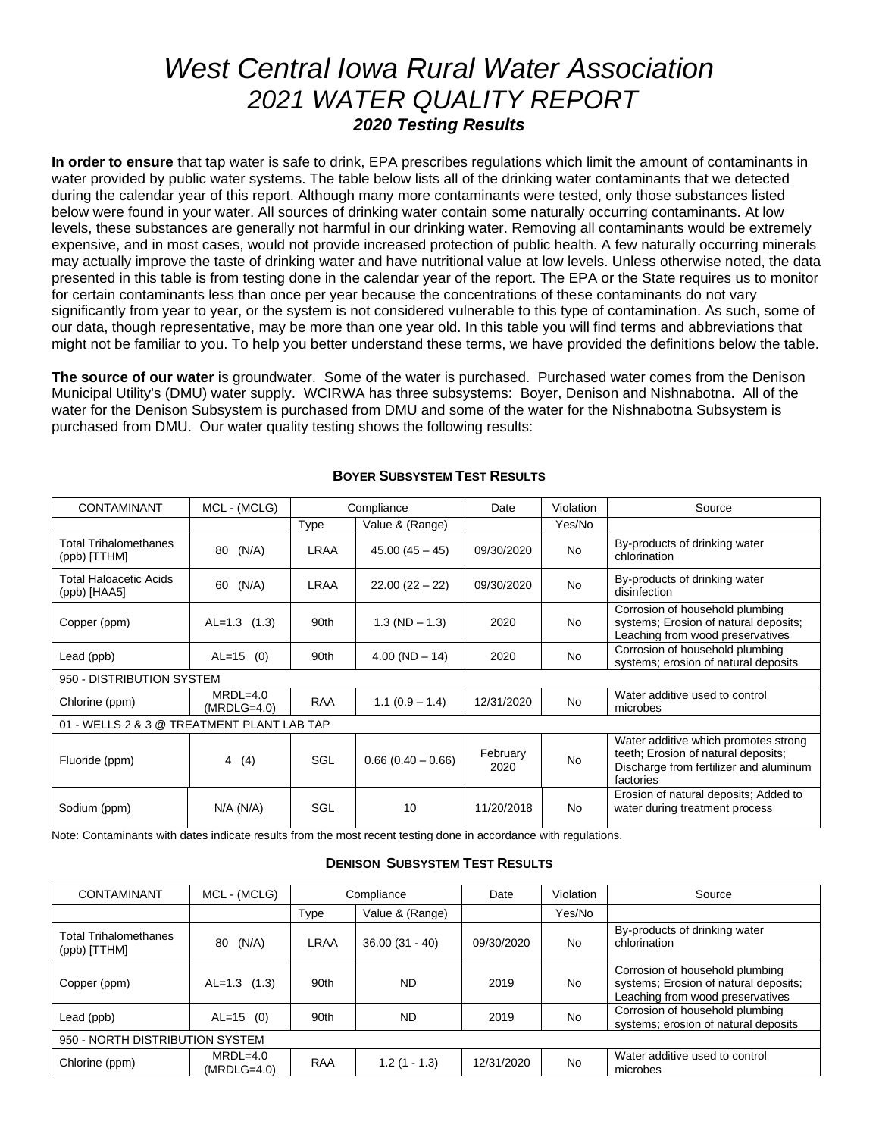# *West Central Iowa Rural Water Association 2021 WATER QUALITY REPORT 2020 Testing Results*

**In order to ensure** that tap water is safe to drink, EPA prescribes regulations which limit the amount of contaminants in water provided by public water systems. The table below lists all of the drinking water contaminants that we detected during the calendar year of this report. Although many more contaminants were tested, only those substances listed below were found in your water. All sources of drinking water contain some naturally occurring contaminants. At low levels, these substances are generally not harmful in our drinking water. Removing all contaminants would be extremely expensive, and in most cases, would not provide increased protection of public health. A few naturally occurring minerals may actually improve the taste of drinking water and have nutritional value at low levels. Unless otherwise noted, the data presented in this table is from testing done in the calendar year of the report. The EPA or the State requires us to monitor for certain contaminants less than once per year because the concentrations of these contaminants do not vary significantly from year to year, or the system is not considered vulnerable to this type of contamination. As such, some of our data, though representative, may be more than one year old. In this table you will find terms and abbreviations that might not be familiar to you. To help you better understand these terms, we have provided the definitions below the table.

**The source of our water** is groundwater. Some of the water is purchased. Purchased water comes from the Denison Municipal Utility's (DMU) water supply. WCIRWA has three subsystems: Boyer, Denison and Nishnabotna. All of the water for the Denison Subsystem is purchased from DMU and some of the water for the Nishnabotna Subsystem is purchased from DMU. Our water quality testing shows the following results:

| <b>CONTAMINANT</b>                           | MCL - (MCLG)                | Compliance |                     | Date             | Violation | Source                                                                                                                             |  |
|----------------------------------------------|-----------------------------|------------|---------------------|------------------|-----------|------------------------------------------------------------------------------------------------------------------------------------|--|
|                                              |                             | Type       | Value & (Range)     |                  | Yes/No    |                                                                                                                                    |  |
| <b>Total Trihalomethanes</b><br>(ppb) [TTHM] | (N/A)<br>80                 | LRAA       | $45.00(45 - 45)$    | 09/30/2020       | No.       | By-products of drinking water<br>chlorination                                                                                      |  |
| Total Haloacetic Acids<br>(ppb) [HAA5]       | (N/A)<br>60                 | LRAA       | $22.00(22 - 22)$    | 09/30/2020       | No.       | By-products of drinking water<br>disinfection                                                                                      |  |
| Copper (ppm)                                 | $AL=1.3$ (1.3)              | 90th       | $1.3 (ND - 1.3)$    | 2020             | <b>No</b> | Corrosion of household plumbing<br>systems; Erosion of natural deposits;<br>Leaching from wood preservatives                       |  |
| Lead (ppb)                                   | $AL=15$ (0)                 | 90th       | $4.00 (ND - 14)$    | 2020             | <b>No</b> | Corrosion of household plumbing<br>systems; erosion of natural deposits                                                            |  |
| 950 - DISTRIBUTION SYSTEM                    |                             |            |                     |                  |           |                                                                                                                                    |  |
| Chlorine (ppm)                               | $MRDL=4.0$<br>$(MRDLG=4.0)$ | <b>RAA</b> | $1.1(0.9 - 1.4)$    | 12/31/2020       | No.       | Water additive used to control<br>microbes                                                                                         |  |
| 01 - WELLS 2 & 3 @ TREATMENT PLANT LAB TAP   |                             |            |                     |                  |           |                                                                                                                                    |  |
| Fluoride (ppm)                               | 4(4)                        | SGL        | $0.66(0.40 - 0.66)$ | February<br>2020 | <b>No</b> | Water additive which promotes strong<br>teeth; Erosion of natural deposits;<br>Discharge from fertilizer and aluminum<br>factories |  |
| Sodium (ppm)                                 | $N/A$ ( $N/A$ )             | SGL        | 10                  | 11/20/2018       | <b>No</b> | Erosion of natural deposits; Added to<br>water during treatment process                                                            |  |

#### **BOYER SUBSYSTEM TEST RESULTS**

Note: Contaminants with dates indicate results from the most recent testing done in accordance with regulations.

#### **DENISON SUBSYSTEM TEST RESULTS**

| <b>CONTAMINANT</b>                           | MCL - (MCLG)                | Compliance |                  | Date       | Violation | Source                                                                                                       |  |
|----------------------------------------------|-----------------------------|------------|------------------|------------|-----------|--------------------------------------------------------------------------------------------------------------|--|
|                                              |                             | Type       | Value & (Range)  |            | Yes/No    |                                                                                                              |  |
| <b>Total Trihalomethanes</b><br>(ppb) [TTHM] | (N/A)<br>80                 | LRAA       | $36.00(31 - 40)$ | 09/30/2020 | No        | By-products of drinking water<br>chlorination                                                                |  |
| Copper (ppm)                                 | $AL=1.3$ (1.3)              | 90th       | <b>ND</b>        | 2019       | <b>No</b> | Corrosion of household plumbing<br>systems; Erosion of natural deposits;<br>Leaching from wood preservatives |  |
| Lead (ppb)                                   | $AL=15$ (0)                 | 90th       | <b>ND</b>        | 2019       | No        | Corrosion of household plumbing<br>systems; erosion of natural deposits                                      |  |
| 950 - NORTH DISTRIBUTION SYSTEM              |                             |            |                  |            |           |                                                                                                              |  |
| Chlorine (ppm)                               | $MRDL=4.0$<br>$(MRDLG=4.0)$ | <b>RAA</b> | $1.2(1 - 1.3)$   | 12/31/2020 | <b>No</b> | Water additive used to control<br>microbes                                                                   |  |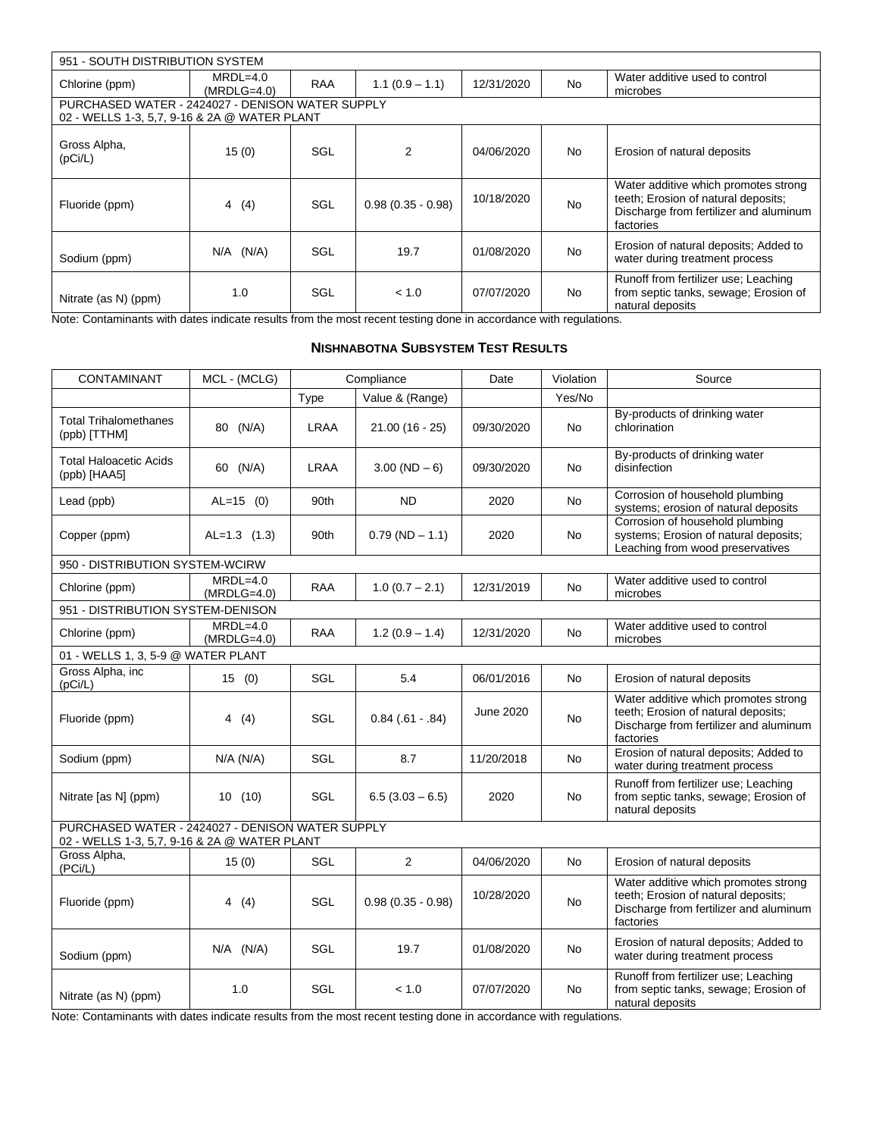| 951 - SOUTH DISTRIBUTION SYSTEM |                                                                                                  |            |                     |            |           |                                                                                                                                    |  |  |
|---------------------------------|--------------------------------------------------------------------------------------------------|------------|---------------------|------------|-----------|------------------------------------------------------------------------------------------------------------------------------------|--|--|
| Chlorine (ppm)                  | $MRDL=4.0$<br>$(MRDLG=4.0)$                                                                      | <b>RAA</b> | $1.1(0.9 - 1.1)$    | 12/31/2020 | <b>No</b> | Water additive used to control<br>microbes                                                                                         |  |  |
|                                 | PURCHASED WATER - 2424027 - DENISON WATER SUPPLY<br>02 - WELLS 1-3, 5,7, 9-16 & 2A @ WATER PLANT |            |                     |            |           |                                                                                                                                    |  |  |
| Gross Alpha,<br>(pCi/L)         | 15(0)                                                                                            | SGL        | 2                   | 04/06/2020 | No.       | Erosion of natural deposits                                                                                                        |  |  |
| Fluoride (ppm)                  | 4(4)                                                                                             | SGL        | $0.98(0.35 - 0.98)$ | 10/18/2020 | <b>No</b> | Water additive which promotes strong<br>teeth; Erosion of natural deposits;<br>Discharge from fertilizer and aluminum<br>factories |  |  |
| Sodium (ppm)                    | $N/A$ $(N/A)$                                                                                    | SGL        | 19.7                | 01/08/2020 | <b>No</b> | Erosion of natural deposits; Added to<br>water during treatment process                                                            |  |  |
| Nitrate (as N) (ppm)            | 1.0                                                                                              | SGL        | < 1.0               | 07/07/2020 | <b>No</b> | Runoff from fertilizer use; Leaching<br>from septic tanks, sewage; Erosion of<br>natural deposits                                  |  |  |

Note: Contaminants with dates indicate results from the most recent testing done in accordance with regulations.

### **NISHNABOTNA SUBSYSTEM TEST RESULTS**

| <b>CONTAMINANT</b>                                                                               | MCL - (MCLG)                |             | Compliance          | Date       | Violation | Source                                                                                                                             |  |
|--------------------------------------------------------------------------------------------------|-----------------------------|-------------|---------------------|------------|-----------|------------------------------------------------------------------------------------------------------------------------------------|--|
|                                                                                                  |                             | Type        | Value & (Range)     |            | Yes/No    |                                                                                                                                    |  |
| <b>Total Trihalomethanes</b><br>(ppb) [TTHM]                                                     | 80 (N/A)                    | LRAA        | $21.00(16 - 25)$    | 09/30/2020 | <b>No</b> | By-products of drinking water<br>chlorination                                                                                      |  |
| <b>Total Haloacetic Acids</b><br>(ppb) [HAA5]                                                    | 60 (N/A)                    | <b>LRAA</b> | $3.00 (ND - 6)$     | 09/30/2020 | No        | By-products of drinking water<br>disinfection                                                                                      |  |
| Lead (ppb)                                                                                       | $AL=15$ (0)                 | 90th        | <b>ND</b>           | 2020       | <b>No</b> | Corrosion of household plumbing<br>systems; erosion of natural deposits                                                            |  |
| Copper (ppm)                                                                                     | $AL=1.3$ (1.3)              | 90th        | $0.79(ND - 1.1)$    | 2020       | No        | Corrosion of household plumbing<br>systems; Erosion of natural deposits;<br>Leaching from wood preservatives                       |  |
| 950 - DISTRIBUTION SYSTEM-WCIRW                                                                  |                             |             |                     |            |           |                                                                                                                                    |  |
| Chlorine (ppm)                                                                                   | $MRDL=4.0$<br>$(MRDLG=4.0)$ | <b>RAA</b>  | $1.0(0.7 - 2.1)$    | 12/31/2019 | No        | Water additive used to control<br>microbes                                                                                         |  |
| 951 - DISTRIBUTION SYSTEM-DENISON                                                                |                             |             |                     |            |           |                                                                                                                                    |  |
| Chlorine (ppm)                                                                                   | $MRDL=4.0$<br>$(MRDLG=4.0)$ | <b>RAA</b>  | $1.2(0.9 - 1.4)$    | 12/31/2020 | <b>No</b> | Water additive used to control<br>microbes                                                                                         |  |
| 01 - WELLS 1, 3, 5-9 @ WATER PLANT                                                               |                             |             |                     |            |           |                                                                                                                                    |  |
| Gross Alpha, inc<br>(pCi/L)                                                                      | 15(0)                       | SGL         | 5.4                 | 06/01/2016 | <b>No</b> | Erosion of natural deposits                                                                                                        |  |
| Fluoride (ppm)                                                                                   | 4(4)                        | <b>SGL</b>  | $0.84(.61-.84)$     | June 2020  | <b>No</b> | Water additive which promotes strong<br>teeth; Erosion of natural deposits;<br>Discharge from fertilizer and aluminum<br>factories |  |
| Sodium (ppm)                                                                                     | N/A (N/A)                   | SGL         | 8.7                 | 11/20/2018 | <b>No</b> | Erosion of natural deposits; Added to<br>water during treatment process                                                            |  |
| Nitrate [as N] (ppm)                                                                             | 10(10)                      | SGL         | $6.5(3.03 - 6.5)$   | 2020       | <b>No</b> | Runoff from fertilizer use; Leaching<br>from septic tanks, sewage; Erosion of<br>natural deposits                                  |  |
| PURCHASED WATER - 2424027 - DENISON WATER SUPPLY<br>02 - WELLS 1-3, 5,7, 9-16 & 2A @ WATER PLANT |                             |             |                     |            |           |                                                                                                                                    |  |
| Gross Alpha,<br>(PCi/L)                                                                          | 15(0)                       | SGL         | 2                   | 04/06/2020 | <b>No</b> | Erosion of natural deposits                                                                                                        |  |
| Fluoride (ppm)                                                                                   | 4(4)                        | SGL         | $0.98(0.35 - 0.98)$ | 10/28/2020 | <b>No</b> | Water additive which promotes strong<br>teeth; Erosion of natural deposits;<br>Discharge from fertilizer and aluminum<br>factories |  |
| Sodium (ppm)                                                                                     | $N/A$ $(N/A)$               | <b>SGL</b>  | 19.7                | 01/08/2020 | No.       | Erosion of natural deposits; Added to<br>water during treatment process                                                            |  |
| Nitrate (as N) (ppm)                                                                             | 1.0                         | SGL         | < 1.0               | 07/07/2020 | No        | Runoff from fertilizer use; Leaching<br>from septic tanks, sewage; Erosion of<br>natural deposits                                  |  |

Note: Contaminants with dates indicate results from the most recent testing done in accordance with regulations.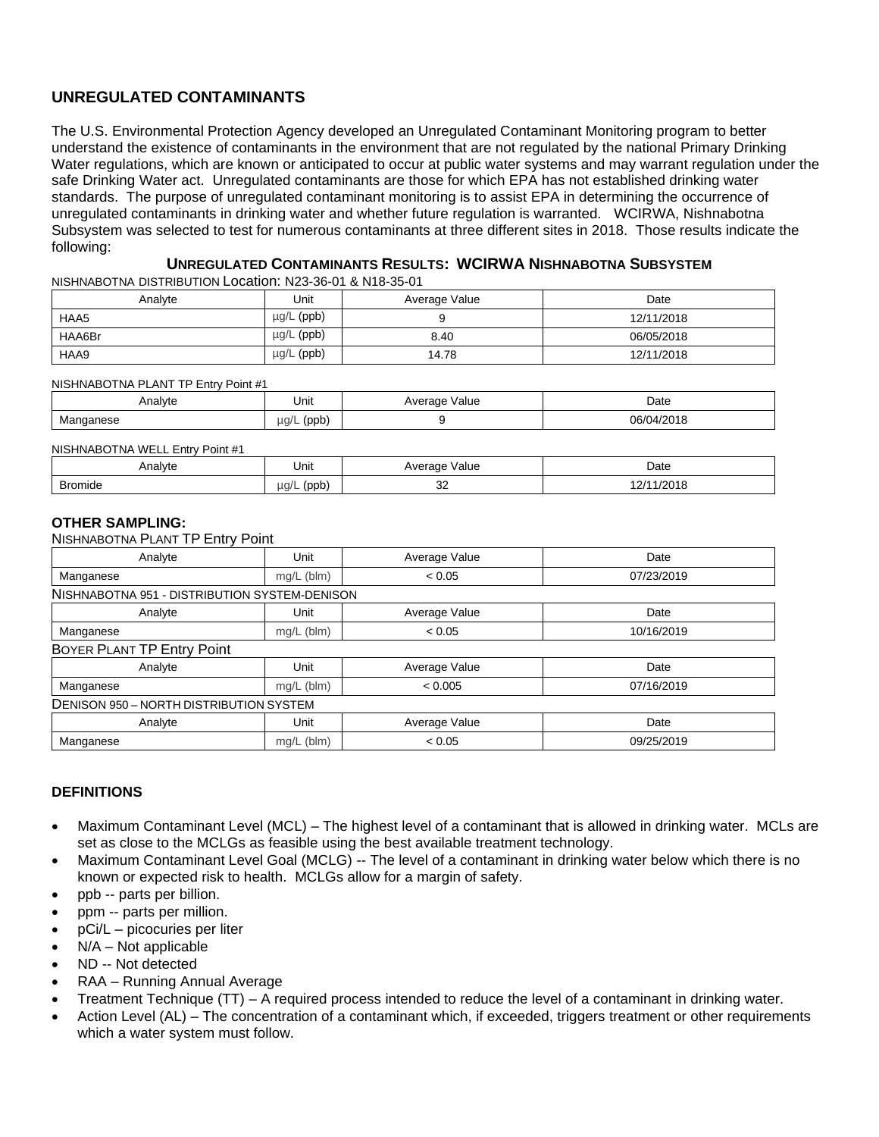## **UNREGULATED CONTAMINANTS**

The U.S. Environmental Protection Agency developed an Unregulated Contaminant Monitoring program to better understand the existence of contaminants in the environment that are not regulated by the national Primary Drinking Water regulations, which are known or anticipated to occur at public water systems and may warrant regulation under the safe Drinking Water act. Unregulated contaminants are those for which EPA has not established drinking water standards. The purpose of unregulated contaminant monitoring is to assist EPA in determining the occurrence of unregulated contaminants in drinking water and whether future regulation is warranted. WCIRWA, Nishnabotna Subsystem was selected to test for numerous contaminants at three different sites in 2018. Those results indicate the following:

#### **UNREGULATED CONTAMINANTS RESULTS: WCIRWA NISHNABOTNA SUBSYSTEM**

NISHNABOTNA DISTRIBUTION Location: N23-36-01 & N18-35-01

| Analyte | Unit            | Average Value | Date       |
|---------|-----------------|---------------|------------|
| HAA5    | $\mu$ g/L (ppb) |               | 12/11/2018 |
| HAA6Br  | µg/L (ppb)      | 8.40          | 06/05/2018 |
| HAA9    | $\mu$ g/L (ppb) | 14.78         | 12/11/2018 |

NISHNABOTNA PLANT TP Entry Point #1

| Analyte                    | Unit                      | Value<br>Average<br>$\sim$ $\sim$ $\sim$ | Date<br>.                                      |
|----------------------------|---------------------------|------------------------------------------|------------------------------------------------|
| <b>IVI</b> dI<br>1555<br>. | JQ/L<br>. (ppb)<br>$\sim$ |                                          | 10010<br>റഭ/ദ<br>$\mathbf{11.11}$<br>U18<br>__ |

NISHNABOTNA WELL Entry Point #1

| Analyte | Unit               | Value<br>Average       | Date  |
|---------|--------------------|------------------------|-------|
| Bromide | $\mu$ a/L<br>(ppb) | $\sim$<br>ےں<br>$\sim$ | /2018 |

#### **OTHER SAMPLING:**

NISHNABOTNA PLANT TP Entry Point

| Analyte                                       | Unit         | Average Value | Date       |  |  |  |
|-----------------------------------------------|--------------|---------------|------------|--|--|--|
| Manganese                                     | $mg/L$ (blm) | < 0.05        | 07/23/2019 |  |  |  |
| NISHNABOTNA 951 - DISTRIBUTION SYSTEM-DENISON |              |               |            |  |  |  |
| Analyte                                       | Unit         | Average Value | Date       |  |  |  |
| Manganese                                     | $mg/L$ (blm) | < 0.05        | 10/16/2019 |  |  |  |
| BOYER PLANT TP Entry Point                    |              |               |            |  |  |  |
| Analyte                                       | Unit         | Average Value | Date       |  |  |  |
| Manganese                                     | mg/L (blm)   | < 0.005       | 07/16/2019 |  |  |  |
| DENISON 950 - NORTH DISTRIBUTION SYSTEM       |              |               |            |  |  |  |
| Analyte                                       | Unit         | Average Value | Date       |  |  |  |
| Manganese                                     | mg/L (blm)   | < 0.05        | 09/25/2019 |  |  |  |

#### **DEFINITIONS**

- Maximum Contaminant Level (MCL) The highest level of a contaminant that is allowed in drinking water. MCLs are set as close to the MCLGs as feasible using the best available treatment technology.
- Maximum Contaminant Level Goal (MCLG) -- The level of a contaminant in drinking water below which there is no known or expected risk to health. MCLGs allow for a margin of safety.
- ppb -- parts per billion.
- ppm -- parts per million.
- pCi/L picocuries per liter
- $N/A Not$  applicable
- ND -- Not detected
- RAA Running Annual Average
- Treatment Technique (TT) A required process intended to reduce the level of a contaminant in drinking water.
- Action Level (AL) The concentration of a contaminant which, if exceeded, triggers treatment or other requirements which a water system must follow.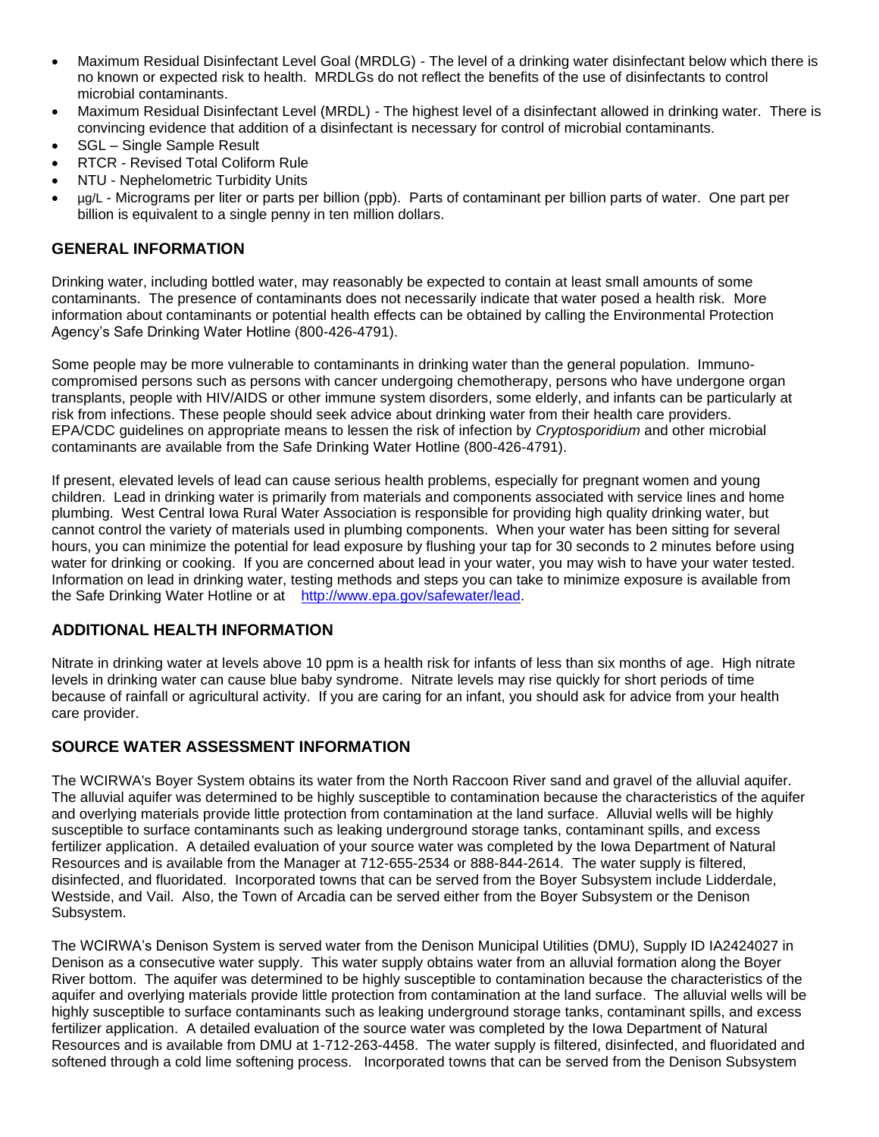- Maximum Residual Disinfectant Level Goal (MRDLG) The level of a drinking water disinfectant below which there is no known or expected risk to health. MRDLGs do not reflect the benefits of the use of disinfectants to control microbial contaminants.
- Maximum Residual Disinfectant Level (MRDL) The highest level of a disinfectant allowed in drinking water. There is convincing evidence that addition of a disinfectant is necessary for control of microbial contaminants.
- SGL Single Sample Result
- RTCR Revised Total Coliform Rule
- NTU Nephelometric Turbidity Units
- µg/L Micrograms per liter or parts per billion (ppb). Parts of contaminant per billion parts of water. One part per billion is equivalent to a single penny in ten million dollars.

## **GENERAL INFORMATION**

Drinking water, including bottled water, may reasonably be expected to contain at least small amounts of some contaminants. The presence of contaminants does not necessarily indicate that water posed a health risk. More information about contaminants or potential health effects can be obtained by calling the Environmental Protection Agency's Safe Drinking Water Hotline (800-426-4791).

Some people may be more vulnerable to contaminants in drinking water than the general population. Immunocompromised persons such as persons with cancer undergoing chemotherapy, persons who have undergone organ transplants, people with HIV/AIDS or other immune system disorders, some elderly, and infants can be particularly at risk from infections. These people should seek advice about drinking water from their health care providers. EPA/CDC guidelines on appropriate means to lessen the risk of infection by *Cryptosporidium* and other microbial contaminants are available from the Safe Drinking Water Hotline (800-426-4791).

If present, elevated levels of lead can cause serious health problems, especially for pregnant women and young children. Lead in drinking water is primarily from materials and components associated with service lines and home plumbing. West Central Iowa Rural Water Association is responsible for providing high quality drinking water, but cannot control the variety of materials used in plumbing components. When your water has been sitting for several hours, you can minimize the potential for lead exposure by flushing your tap for 30 seconds to 2 minutes before using water for drinking or cooking. If you are concerned about lead in your water, you may wish to have your water tested. Information on lead in drinking water, testing methods and steps you can take to minimize exposure is available from the Safe Drinking Water Hotline or at [http://www.epa.gov/safewater/lead.](http://www.epa.gov/safewater/lead)

## **ADDITIONAL HEALTH INFORMATION**

Nitrate in drinking water at levels above 10 ppm is a health risk for infants of less than six months of age. High nitrate levels in drinking water can cause blue baby syndrome. Nitrate levels may rise quickly for short periods of time because of rainfall or agricultural activity. If you are caring for an infant, you should ask for advice from your health care provider.

## **SOURCE WATER ASSESSMENT INFORMATION**

The WCIRWA's Boyer System obtains its water from the North Raccoon River sand and gravel of the alluvial aquifer. The alluvial aquifer was determined to be highly susceptible to contamination because the characteristics of the aquifer and overlying materials provide little protection from contamination at the land surface. Alluvial wells will be highly susceptible to surface contaminants such as leaking underground storage tanks, contaminant spills, and excess fertilizer application. A detailed evaluation of your source water was completed by the Iowa Department of Natural Resources and is available from the Manager at 712-655-2534 or 888-844-2614. The water supply is filtered, disinfected, and fluoridated. Incorporated towns that can be served from the Boyer Subsystem include Lidderdale, Westside, and Vail. Also, the Town of Arcadia can be served either from the Boyer Subsystem or the Denison Subsystem.

The WCIRWA's Denison System is served water from the Denison Municipal Utilities (DMU), Supply ID IA2424027 in Denison as a consecutive water supply. This water supply obtains water from an alluvial formation along the Boyer River bottom. The aquifer was determined to be highly susceptible to contamination because the characteristics of the aquifer and overlying materials provide little protection from contamination at the land surface. The alluvial wells will be highly susceptible to surface contaminants such as leaking underground storage tanks, contaminant spills, and excess fertilizer application. A detailed evaluation of the source water was completed by the Iowa Department of Natural Resources and is available from DMU at 1-712-263-4458. The water supply is filtered, disinfected, and fluoridated and softened through a cold lime softening process. Incorporated towns that can be served from the Denison Subsystem